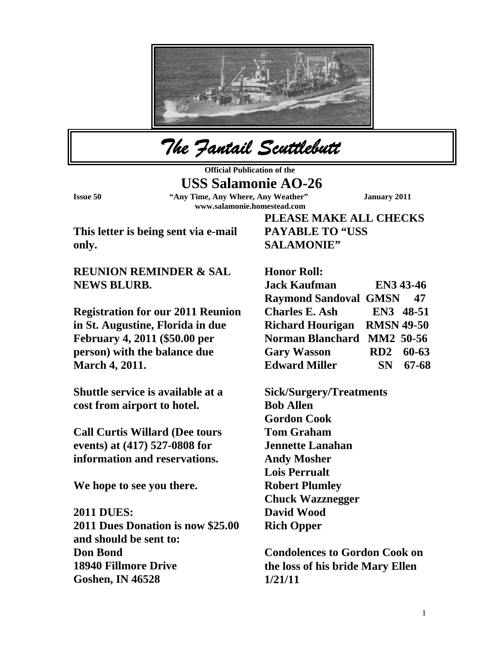

*The Fantail Scuttlebutt* 

**Official Publication of the** 

 **USS Salamonie AO-26** 

**Issue 50 "Any Time, Any Where, Any Weather" January 2011 www.salamonie.homestead.com** 

**This letter is being sent via e-mail only.** 

**REUNION REMINDER & SAL NEWS BLURB.** 

**Registration for our 2011 Reunion in St. Augustine, Florida in due February 4, 2011 (\$50.00 per person) with the balance due March 4, 2011.** 

**Shuttle service is available at a cost from airport to hotel.** 

**Call Curtis Willard (Dee tours events) at (417) 527-0808 for information and reservations.** 

**We hope to see you there.** 

## **2011 DUES:**

**2011 Dues Donation is now \$25.00 and should be sent to: Don Bond 18940 Fillmore Drive Goshen, IN 46528** 

**PLEASE MAKE ALL CHECKS PAYABLE TO "USS SALAMONIE"** 

**Honor Roll: Jack Kaufman EN3 43-46 Raymond Sandoval GMSN 47 Charles E. Ash EN3 48-51 Richard Hourigan RMSN 49-50 Norman Blanchard MM2 50-56 Gary Wasson RD2 60-63 Edward Miller SN 67-68** 

**Sick/Surgery/Treatments Bob Allen Gordon Cook Tom Graham Jennette Lanahan Andy Mosher Lois Perrualt Robert Plumley Chuck Wazznegger David Wood Rich Opper** 

**Condolences to Gordon Cook on the loss of his bride Mary Ellen 1/21/11**